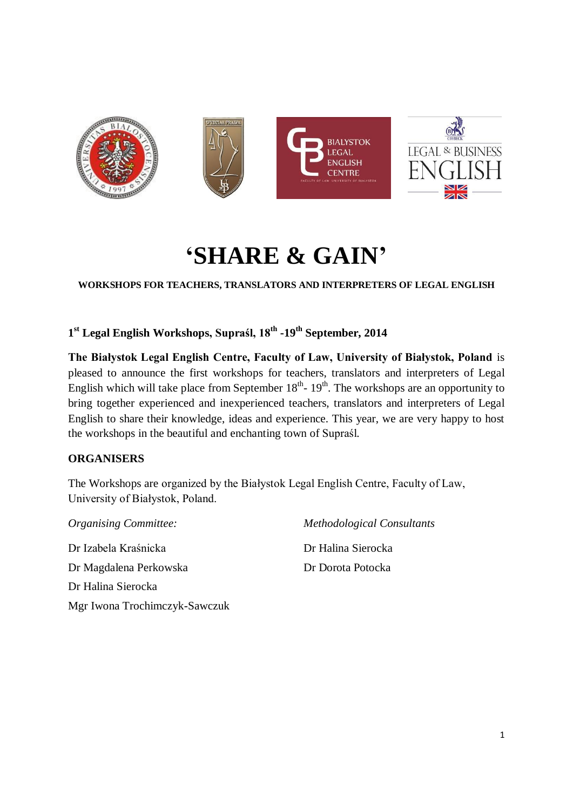

# **'SHARE & GAIN'**

**WORKSHOPS FOR TEACHERS, TRANSLATORS AND INTERPRETERS OF LEGAL ENGLISH**

**1 st Legal English Workshops, Supraśl, 18th -19th September, 2014**

**The Białystok Legal English Centre, Faculty of Law, University of Białystok, Poland** is pleased to announce the first workshops for teachers, translators and interpreters of Legal English which will take place from September  $18<sup>th</sup>$ -  $19<sup>th</sup>$ . The workshops are an opportunity to bring together experienced and inexperienced teachers, translators and interpreters of Legal English to share their knowledge, ideas and experience. This year, we are very happy to host the workshops in the beautiful and enchanting town of Supraśl.

## **ORGANISERS**

The Workshops are organized by the Białystok Legal English Centre, Faculty of Law, University of Białystok, Poland.

*Organising Committee:* Dr Izabela Kraśnicka Dr Magdalena Perkowska Dr Halina Sierocka Mgr Iwona Trochimczyk-Sawczuk *Methodological Consultants*

Dr Halina Sierocka Dr Dorota Potocka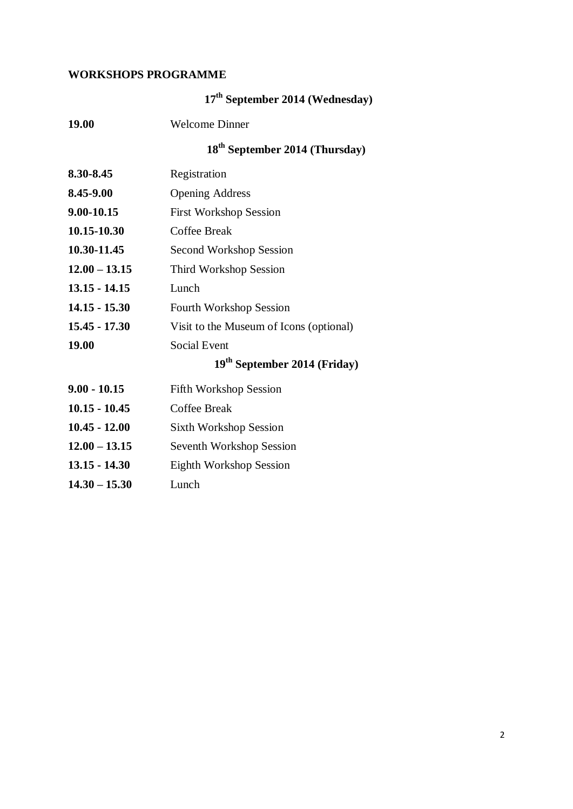# **WORKSHOPS PROGRAMME**

|                 | 17 <sup>th</sup> September 2014 (Wednesday) |
|-----------------|---------------------------------------------|
| 19.00           | <b>Welcome Dinner</b>                       |
|                 | 18 <sup>th</sup> September 2014 (Thursday)  |
| 8.30-8.45       | Registration                                |
| 8.45-9.00       | <b>Opening Address</b>                      |
| 9.00-10.15      | <b>First Workshop Session</b>               |
| 10.15-10.30     | <b>Coffee Break</b>                         |
| 10.30-11.45     | <b>Second Workshop Session</b>              |
| $12.00 - 13.15$ | Third Workshop Session                      |
| $13.15 - 14.15$ | Lunch                                       |
| $14.15 - 15.30$ | <b>Fourth Workshop Session</b>              |
| $15.45 - 17.30$ | Visit to the Museum of Icons (optional)     |
| 19.00           | <b>Social Event</b>                         |
|                 | 19 <sup>th</sup> September 2014 (Friday)    |
| $9.00 - 10.15$  | <b>Fifth Workshop Session</b>               |
| $10.15 - 10.45$ | <b>Coffee Break</b>                         |
| $10.45 - 12.00$ | <b>Sixth Workshop Session</b>               |
| $12.00 - 13.15$ | Seventh Workshop Session                    |
| $13.15 - 14.30$ | <b>Eighth Workshop Session</b>              |
| $14.30 - 15.30$ | Lunch                                       |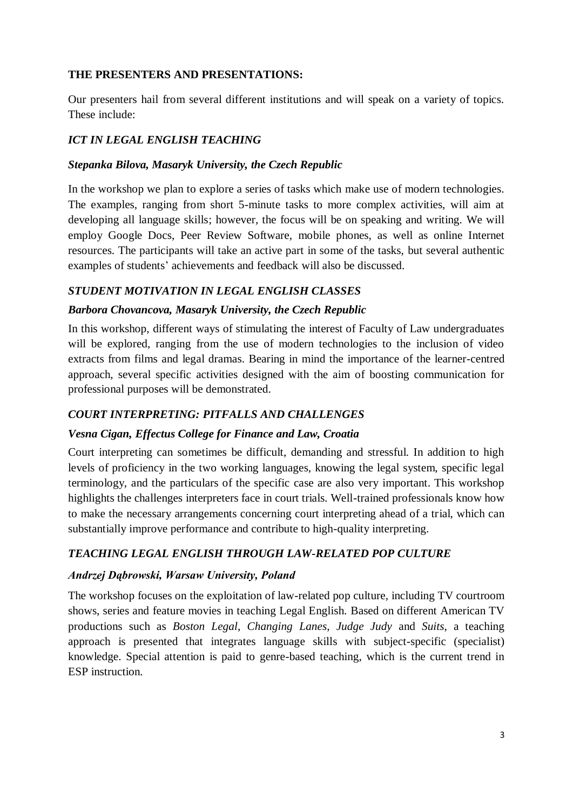## **THE PRESENTERS AND PRESENTATIONS:**

Our presenters hail from several different institutions and will speak on a variety of topics. These include:

# *ICT IN LEGAL ENGLISH TEACHING*

# *Stepanka Bilova, Masaryk University, the Czech Republic*

In the workshop we plan to explore a series of tasks which make use of modern technologies. The examples, ranging from short 5-minute tasks to more complex activities, will aim at developing all language skills; however, the focus will be on speaking and writing. We will employ Google Docs, Peer Review Software, mobile phones, as well as online Internet resources. The participants will take an active part in some of the tasks, but several authentic examples of students' achievements and feedback will also be discussed.

# *STUDENT MOTIVATION IN LEGAL ENGLISH CLASSES*

# *Barbora Chovancova, Masaryk University, the Czech Republic*

In this workshop, different ways of stimulating the interest of Faculty of Law undergraduates will be explored, ranging from the use of modern technologies to the inclusion of video extracts from films and legal dramas. Bearing in mind the importance of the learner-centred approach, several specific activities designed with the aim of boosting communication for professional purposes will be demonstrated.

# *COURT INTERPRETING: PITFALLS AND CHALLENGES*

## *Vesna Cigan, Effectus College for Finance and Law, Croatia*

Court interpreting can sometimes be difficult, demanding and stressful. In addition to high levels of proficiency in the two working languages, knowing the legal system, specific legal terminology, and the particulars of the specific case are also very important. This workshop highlights the challenges interpreters face in court trials. Well-trained professionals know how to make the necessary arrangements concerning court interpreting ahead of a trial, which can substantially improve performance and contribute to high-quality interpreting.

# *TEACHING LEGAL ENGLISH THROUGH LAW-RELATED POP CULTURE*

## *Andrzej Dąbrowski, Warsaw University, Poland*

The workshop focuses on the exploitation of law-related pop culture, including TV courtroom shows, series and feature movies in teaching Legal English. Based on different American TV productions such as *Boston Legal*, *Changing Lanes*, *Judge Judy* and *Suits*, a teaching approach is presented that integrates language skills with subject-specific (specialist) knowledge. Special attention is paid to genre-based teaching, which is the current trend in ESP instruction.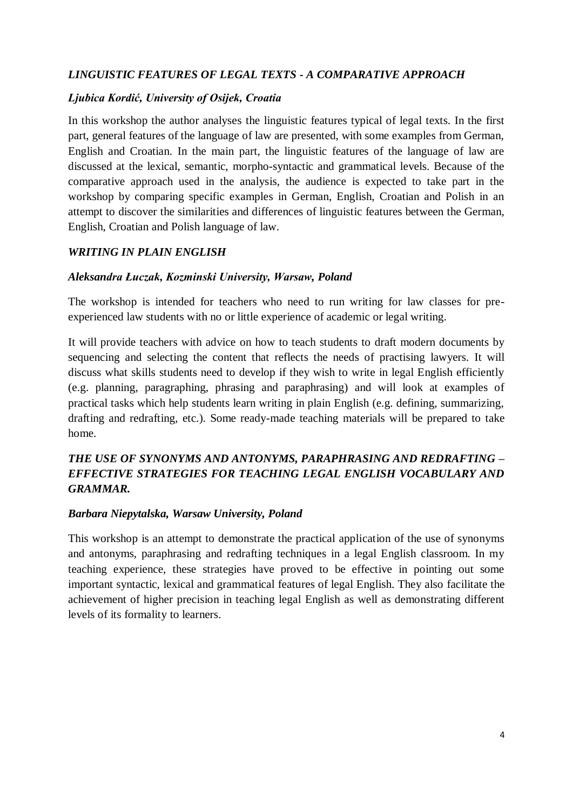# *LINGUISTIC FEATURES OF LEGAL TEXTS - A COMPARATIVE APPROACH*

### *Ljubica Kordić, University of Osijek, Croatia*

In this workshop the author analyses the linguistic features typical of legal texts. In the first part, general features of the language of law are presented, with some examples from German, English and Croatian. In the main part, the linguistic features of the language of law are discussed at the lexical, semantic, morpho-syntactic and grammatical levels. Because of the comparative approach used in the analysis, the audience is expected to take part in the workshop by comparing specific examples in German, English, Croatian and Polish in an attempt to discover the similarities and differences of linguistic features between the German, English, Croatian and Polish language of law.

## *WRITING IN PLAIN ENGLISH*

#### *Aleksandra Łuczak, Kozminski University, Warsaw, Poland*

The workshop is intended for teachers who need to run writing for law classes for preexperienced law students with no or little experience of academic or legal writing.

It will provide teachers with advice on how to teach students to draft modern documents by sequencing and selecting the content that reflects the needs of practising lawyers. It will discuss what skills students need to develop if they wish to write in legal English efficiently (e.g. planning, paragraphing, phrasing and paraphrasing) and will look at examples of practical tasks which help students learn writing in plain English (e.g. defining, summarizing, drafting and redrafting, etc.). Some ready-made teaching materials will be prepared to take home.

# *THE USE OF SYNONYMS AND ANTONYMS, PARAPHRASING AND REDRAFTING – EFFECTIVE STRATEGIES FOR TEACHING LEGAL ENGLISH VOCABULARY AND GRAMMAR.*

#### *Barbara Niepytalska, Warsaw University, Poland*

This workshop is an attempt to demonstrate the practical application of the use of synonyms and antonyms, paraphrasing and redrafting techniques in a legal English classroom. In my teaching experience, these strategies have proved to be effective in pointing out some important syntactic, lexical and grammatical features of legal English. They also facilitate the achievement of higher precision in teaching legal English as well as demonstrating different levels of its formality to learners.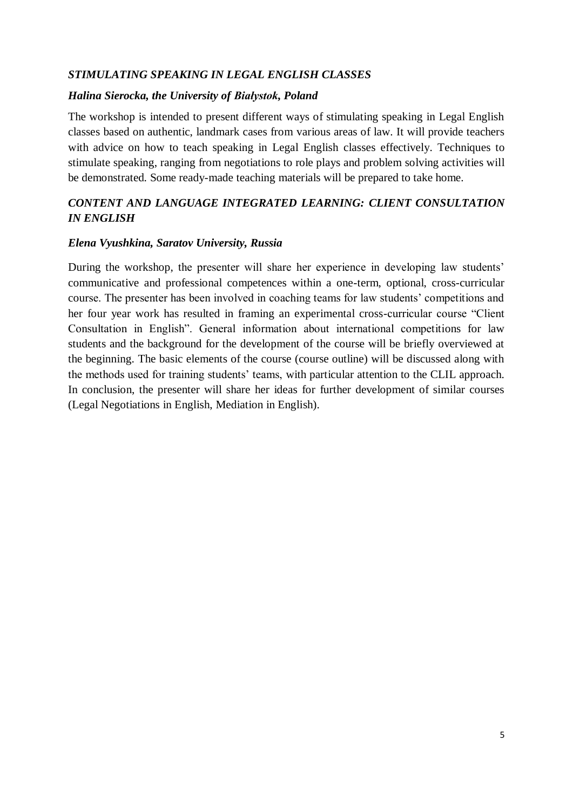## *STIMULATING SPEAKING IN LEGAL ENGLISH CLASSES*

#### *Halina Sierocka, the University of Białystok, Poland*

The workshop is intended to present different ways of stimulating speaking in Legal English classes based on authentic, landmark cases from various areas of law. It will provide teachers with advice on how to teach speaking in Legal English classes effectively. Techniques to stimulate speaking, ranging from negotiations to role plays and problem solving activities will be demonstrated. Some ready-made teaching materials will be prepared to take home.

# *CONTENT AND LANGUAGE INTEGRATED LEARNING: CLIENT CONSULTATION IN ENGLISH*

#### *Elena Vyushkina, Saratov University, Russia*

During the workshop, the presenter will share her experience in developing law students' communicative and professional competences within a one-term, optional, cross-curricular course. The presenter has been involved in coaching teams for law students' competitions and her four year work has resulted in framing an experimental cross-curricular course "Client Consultation in English". General information about international competitions for law students and the background for the development of the course will be briefly overviewed at the beginning. The basic elements of the course (course outline) will be discussed along with the methods used for training students' teams, with particular attention to the CLIL approach. In conclusion, the presenter will share her ideas for further development of similar courses (Legal Negotiations in English, Mediation in English).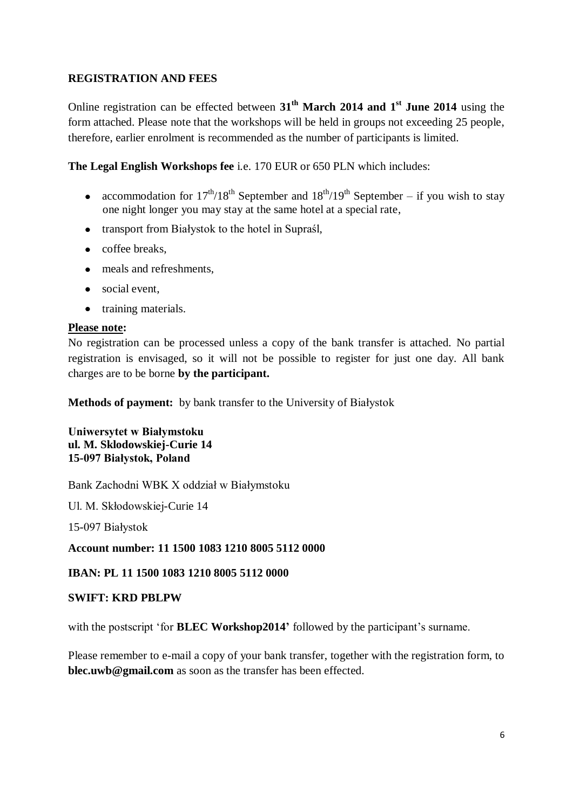## **REGISTRATION AND FEES**

Online registration can be effected between **31 th March 2014 and 1 st June 2014** using the form attached. Please note that the workshops will be held in groups not exceeding 25 people, therefore, earlier enrolment is recommended as the number of participants is limited.

**The Legal English Workshops fee** i.e. 170 EUR or 650 PLN which includes:

- accommodation for  $17^{th}/18^{th}$  September and  $18^{th}/19^{th}$  September if you wish to stay one night longer you may stay at the same hotel at a special rate,
- transport from Białystok to the hotel in Supraśl,
- coffee breaks.
- meals and refreshments,
- social event,
- training materials.

### **Please note:**

No registration can be processed unless a copy of the bank transfer is attached. No partial registration is envisaged, so it will not be possible to register for just one day. All bank charges are to be borne **by the participant.**

**Methods of payment:** by bank transfer to the University of Białystok

**Uniwersytet w Białymstoku ul. M. Sklodowskiej-Curie 14 15-097 Białystok, Poland** 

Bank Zachodni WBK X oddział w Białymstoku

Ul. M. Skłodowskiej-Curie 14

15-097 Białystok

**Account number: 11 1500 1083 1210 8005 5112 0000**

**IBAN: PL 11 1500 1083 1210 8005 5112 0000**

#### **SWIFT: KRD PBLPW**

with the postscript 'for **BLEC Workshop2014'** followed by the participant's surname.

Please remember to e-mail a copy of your bank transfer, together with the registration form, to **blec.uwb@gmail.com** as soon as the transfer has been effected.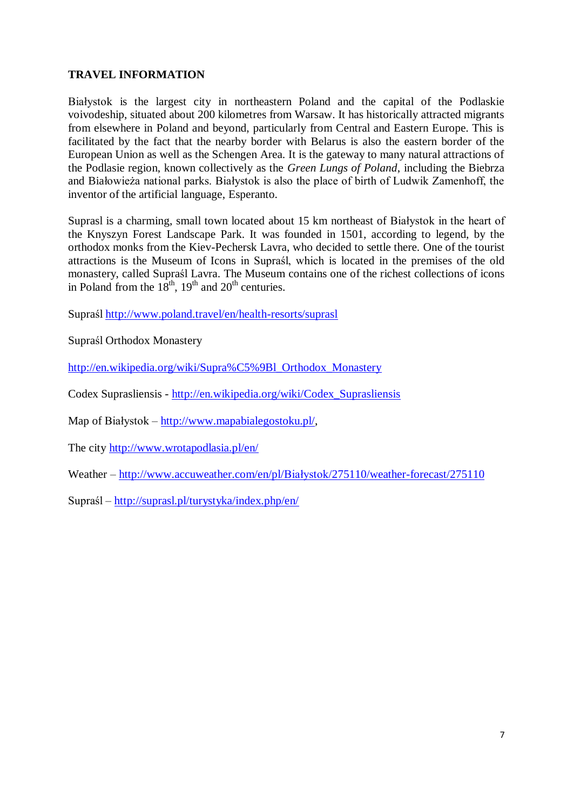## **TRAVEL INFORMATION**

Białystok is the largest city in northeastern Poland and the capital of the Podlaskie voivodeship, situated about 200 kilometres from Warsaw. It has historically attracted migrants from elsewhere in Poland and beyond, particularly from Central and Eastern Europe. This is facilitated by the fact that the nearby border with Belarus is also the eastern border of the European Union as well as the Schengen Area. It is the gateway to many natural attractions of the Podlasie region, known collectively as the *Green Lungs of Poland*, including the Biebrza and Białowieża national parks. Białystok is also the place of birth of Ludwik Zamenhoff, the inventor of the artificial language, Esperanto.

Suprasl is a charming, small town located about 15 km northeast of Białystok in the heart of the Knyszyn Forest Landscape Park. It was founded in 1501, according to legend, by the orthodox monks from the Kiev-Pechersk Lavra, who decided to settle there. One of the tourist attractions is the Museum of Icons in Supraśl, which is located in the premises of the old monastery, called Supraśl Lavra. The Museum contains one of the richest collections of icons in Poland from the  $18<sup>th</sup>$ ,  $19<sup>th</sup>$  and  $20<sup>th</sup>$  centuries.

Supraśl<http://www.poland.travel/en/health-resorts/suprasl>

Supraśl Orthodox Monastery

[http://en.wikipedia.org/wiki/Supra%C5%9Bl\\_Orthodox\\_Monastery](http://en.wikipedia.org/wiki/Supra%C5%9Bl_Orthodox_Monastery)

Codex Suprasliensis - [http://en.wikipedia.org/wiki/Codex\\_Suprasliensis](http://en.wikipedia.org/wiki/Codex_Suprasliensis)

Map of Białystok – [http://www.mapabialegostoku.pl/,](http://www.mapabialegostoku.pl/)

The city<http://www.wrotapodlasia.pl/en/>

Weather – [http://www.accuweather.com/en/pl/Białystok/275110/weather-forecast/275110](http://www.accuweather.com/en/pl/bialystok/275110/weather-forecast/275110)

Supraśl – <http://suprasl.pl/turystyka/index.php/en/>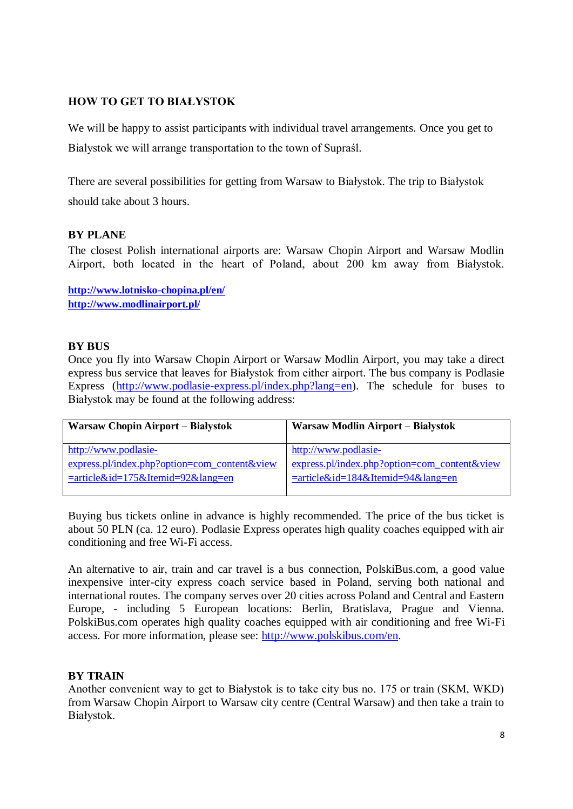# **HOW TO GET TO BIAŁYSTOK**

We will be happy to assist participants with individual travel arrangements. Once you get to Bialystok we will arrange transportation to the town of Supraśl.

There are several possibilities for getting from Warsaw to Białystok. The trip to Białystok should take about 3 hours.

### **BY PLANE**

The closest Polish international airports are: Warsaw Chopin Airport and Warsaw Modlin Airport, both located in the heart of Poland, about 200 km away from Białystok.

**[http://www.lotnisko-chopina.pl/en/](http://www.lotnisko-chopina.pl/en/passenger) <http://www.modlinairport.pl/>**

### **BY BUS**

Once you fly into Warsaw Chopin Airport or Warsaw Modlin Airport, you may take a direct express bus service that leaves for Białystok from either airport. The bus company is Podlasie Express [\(http://www.podlasie-express.pl/index.php?lang=en\)](http://www.podlasie-express.pl/index.php?lang=en). The schedule for buses to Białystok may be found at the following address:

| Warsaw Chopin Airport – Białystok              | Warsaw Modlin Airport – Białystok            |
|------------------------------------------------|----------------------------------------------|
| http://www.podlasie-                           | http://www.podlasie-                         |
| $express.pl/index.php?option=com content&view$ | express.pl/index.php?option=com_content&view |
| $=$ article&id=175&Itemid=92⟨=en               | $=$ article&id=184&Itemid=94⟨=en             |
|                                                |                                              |

Buying bus tickets online in advance is highly recommended. The price of the bus ticket is about 50 PLN (ca. 12 euro). Podlasie Express operates high quality coaches equipped with air conditioning and free Wi-Fi access.

An alternative to air, train and car travel is a bus connection, PolskiBus.com, a good value inexpensive inter-city express coach service based in Poland, serving both national and international routes. The company serves over 20 cities across Poland and Central and Eastern Europe, - including 5 European locations: Berlin, Bratislava, Prague and Vienna. PolskiBus.com operates high quality coaches equipped with air conditioning and free Wi-Fi access. For more information, please see: [http://www.polskibus.com/en.](http://www.polskibus.com/en)

## **BY TRAIN**

Another convenient way to get to Białystok is to take city bus no. 175 or train (SKM, WKD) from Warsaw Chopin Airport to Warsaw city centre (Central Warsaw) and then take a train to Białystok.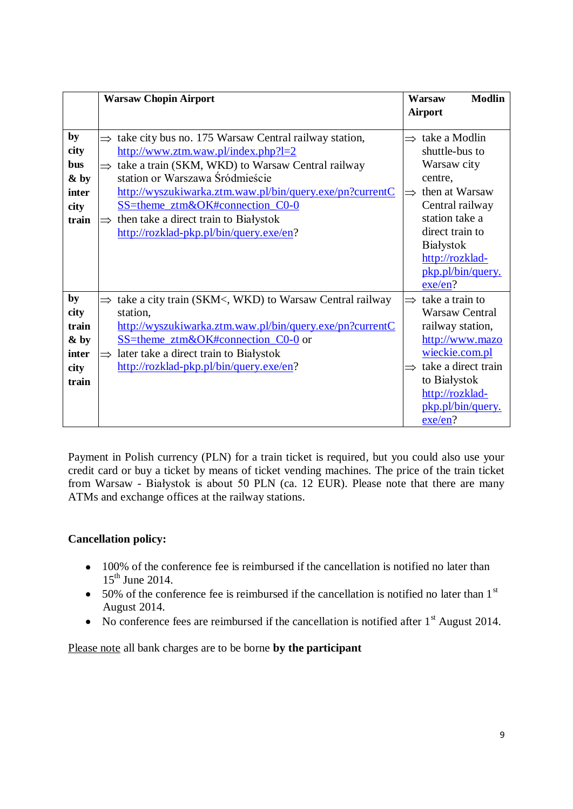|                                                     | <b>Warsaw Chopin Airport</b>                                                                                                                                                                                                                                                                                                                                                                           |                                           | <b>Modlin</b><br>Warsaw                                                                                                                                                       |
|-----------------------------------------------------|--------------------------------------------------------------------------------------------------------------------------------------------------------------------------------------------------------------------------------------------------------------------------------------------------------------------------------------------------------------------------------------------------------|-------------------------------------------|-------------------------------------------------------------------------------------------------------------------------------------------------------------------------------|
|                                                     |                                                                                                                                                                                                                                                                                                                                                                                                        | <b>Airport</b>                            |                                                                                                                                                                               |
| by<br>city<br>bus<br>& by<br>inter<br>city<br>train | take city bus no. 175 Warsaw Central railway station,<br>$\Rightarrow$<br>http://www.ztm.waw.pl/index.php?l=2<br>$\Rightarrow$ take a train (SKM, WKD) to Warsaw Central railway<br>station or Warszawa Śródmieście<br>http://wyszukiwarka.ztm.waw.pl/bin/query.exe/pn?currentC<br>SS=theme ztm&OK#connection C0-0<br>then take a direct train to Białystok<br>http://rozklad-pkp.pl/bin/query.exe/en? | $\Rightarrow$<br>centre,<br>$\Rightarrow$ | take a Modlin<br>shuttle-bus to<br>Warsaw city<br>then at Warsaw<br>Central railway<br>station take a<br>direct train to<br>Białystok<br>http://rozklad-<br>pkp.pl/bin/query. |
| by                                                  | $\Rightarrow$ take a city train (SKM<, WKD) to Warsaw Central railway                                                                                                                                                                                                                                                                                                                                  | $\Rightarrow$                             | exe/en?<br>take a train to                                                                                                                                                    |
| city<br>train<br>& by<br>inter<br>city<br>train     | station,<br>http://wyszukiwarka.ztm.waw.pl/bin/query.exe/pn?currentC<br>SS=theme_ztm&OK#connection_C0-0 or<br>later take a direct train to Białystok<br>$\Rightarrow$<br>http://rozklad-pkp.pl/bin/query.exe/en?                                                                                                                                                                                       | $\Rightarrow$<br>exe/en?                  | <b>Warsaw Central</b><br>railway station,<br>http://www.mazo<br>wieckie.com.pl<br>take a direct train<br>to Białystok<br>http://rozklad-<br>pkp.pl/bin/query.                 |

Payment in Polish currency (PLN) for a train ticket is required, but you could also use your credit card or buy a ticket by means of ticket vending machines. The price of the train ticket from Warsaw - Białystok is about 50 PLN (ca. 12 EUR). Please note that there are many ATMs and exchange offices at the railway stations.

# **Cancellation policy:**

- 100% of the conference fee is reimbursed if the cancellation is notified no later than  $15<sup>th</sup>$  June 2014.
- $\bullet$  50% of the conference fee is reimbursed if the cancellation is notified no later than 1<sup>st</sup> August 2014.
- No conference fees are reimbursed if the cancellation is notified after  $1<sup>st</sup>$  August 2014.

Please note all bank charges are to be borne **by the participant**